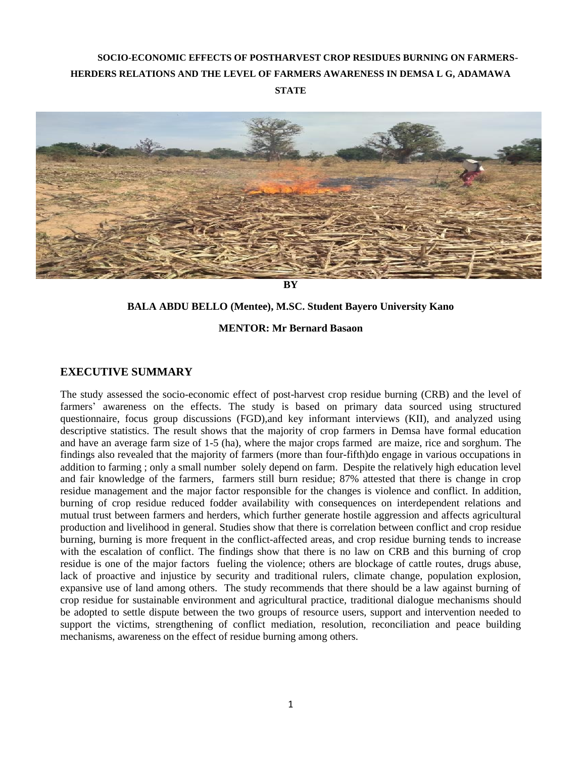# **SOCIO-ECONOMIC EFFECTS OF POSTHARVEST CROP RESIDUES BURNING ON FARMERS-HERDERS RELATIONS AND THE LEVEL OF FARMERS AWARENESS IN DEMSA L G, ADAMAWA STATE**



**BY**

#### **BALA ABDU BELLO (Mentee), M.SC. Student Bayero University Kano**

#### **MENTOR: Mr Bernard Basaon**

#### **EXECUTIVE SUMMARY**

The study assessed the socio-economic effect of post-harvest crop residue burning (CRB) and the level of farmers' awareness on the effects. The study is based on primary data sourced using structured questionnaire, focus group discussions (FGD),and key informant interviews (KII), and analyzed using descriptive statistics. The result shows that the majority of crop farmers in Demsa have formal education and have an average farm size of 1-5 (ha), where the major crops farmed are maize, rice and sorghum. The findings also revealed that the majority of farmers (more than four-fifth)do engage in various occupations in addition to farming ; only a small number solely depend on farm. Despite the relatively high education level and fair knowledge of the farmers, farmers still burn residue; 87% attested that there is change in crop residue management and the major factor responsible for the changes is violence and conflict. In addition, burning of crop residue reduced fodder availability with consequences on interdependent relations and mutual trust between farmers and herders, which further generate hostile aggression and affects agricultural production and livelihood in general. Studies show that there is correlation between conflict and crop residue burning, burning is more frequent in the conflict-affected areas, and crop residue burning tends to increase with the escalation of conflict. The findings show that there is no law on CRB and this burning of crop residue is one of the major factors fueling the violence; others are blockage of cattle routes, drugs abuse, lack of proactive and injustice by security and traditional rulers, climate change, population explosion, expansive use of land among others. The study recommends that there should be a law against burning of crop residue for sustainable environment and agricultural practice, traditional dialogue mechanisms should be adopted to settle dispute between the two groups of resource users, support and intervention needed to support the victims, strengthening of conflict mediation, resolution, reconciliation and peace building mechanisms, awareness on the effect of residue burning among others.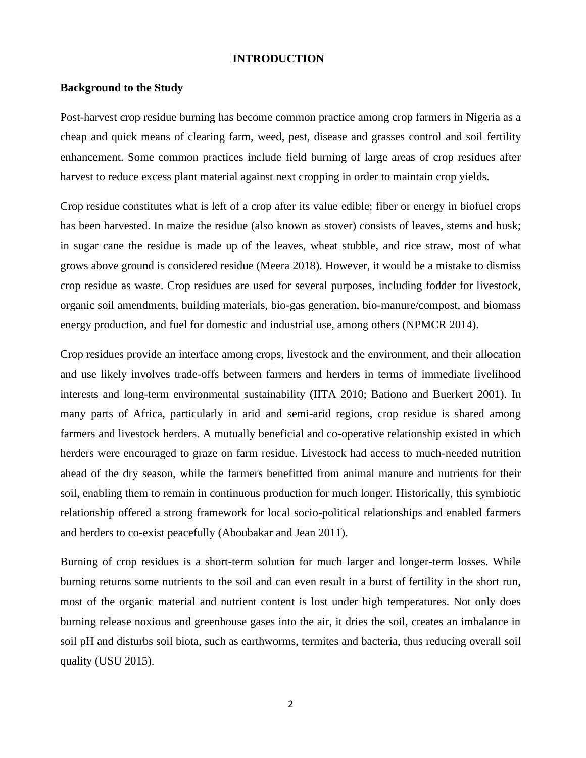#### **INTRODUCTION**

#### **Background to the Study**

Post-harvest crop residue burning has become common practice among crop farmers in Nigeria as a cheap and quick means of clearing farm, weed, pest, disease and grasses control and soil fertility enhancement. Some common practices include field burning of large areas of crop residues after harvest to reduce excess plant material against next cropping in order to maintain crop yields.

Crop residue constitutes what is left of a crop after its value edible; fiber or energy in biofuel crops has been harvested. In maize the residue (also known as stover) consists of leaves, stems and husk; in sugar cane the residue is made up of the leaves, wheat stubble, and rice straw, most of what grows above ground is considered residue (Meera 2018). However, it would be a mistake to dismiss crop residue as waste. Crop residues are used for several purposes, including fodder for livestock, organic soil amendments, building materials, bio-gas generation, bio-manure/compost, and biomass energy production, and fuel for domestic and industrial use, among others (NPMCR 2014).

Crop residues provide an interface among crops, livestock and the environment, and their allocation and use likely involves trade-offs between farmers and herders in terms of immediate livelihood interests and long-term environmental sustainability (IITA 2010; Bationo and Buerkert 2001). In many parts of Africa, particularly in arid and semi-arid regions, crop residue is shared among farmers and livestock herders. A mutually beneficial and co-operative relationship existed in which herders were encouraged to graze on farm residue. Livestock had access to much-needed nutrition ahead of the dry season, while the farmers benefitted from animal manure and nutrients for their soil, enabling them to remain in continuous production for much longer. Historically, this symbiotic relationship offered a strong framework for local socio-political relationships and enabled farmers and herders to co-exist peacefully (Aboubakar and Jean 2011).

Burning of crop residues is a short-term solution for much larger and longer-term losses. While burning returns some nutrients to the soil and can even result in a burst of fertility in the short run, most of the organic material and nutrient content is lost under high temperatures. Not only does burning release noxious and greenhouse gases into the air, it dries the soil, creates an imbalance in soil pH and disturbs soil biota, such as earthworms, termites and bacteria, thus reducing overall soil quality (USU 2015).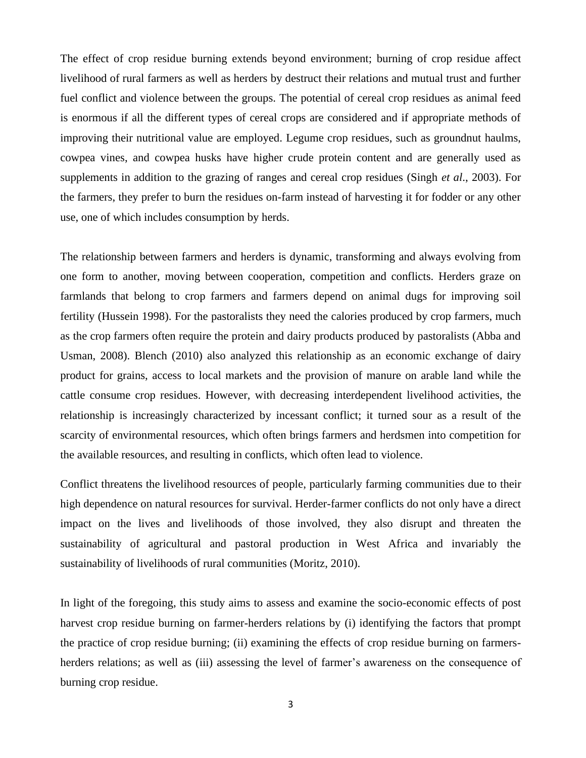The effect of crop residue burning extends beyond environment; burning of crop residue affect livelihood of rural farmers as well as herders by destruct their relations and mutual trust and further fuel conflict and violence between the groups. The potential of cereal crop residues as animal feed is enormous if all the different types of cereal crops are considered and if appropriate methods of improving their nutritional value are employed. Legume crop residues, such as groundnut haulms, cowpea vines, and cowpea husks have higher crude protein content and are generally used as supplements in addition to the grazing of ranges and cereal crop residues (Singh *et al*., 2003). For the farmers, they prefer to burn the residues on-farm instead of harvesting it for fodder or any other use, one of which includes consumption by herds.

The relationship between farmers and herders is dynamic, transforming and always evolving from one form to another, moving between cooperation, competition and conflicts. Herders graze on farmlands that belong to crop farmers and farmers depend on animal dugs for improving soil fertility (Hussein 1998). For the pastoralists they need the calories produced by crop farmers, much as the crop farmers often require the protein and dairy products produced by pastoralists (Abba and Usman, 2008). Blench (2010) also analyzed this relationship as an economic exchange of dairy product for grains, access to local markets and the provision of manure on arable land while the cattle consume crop residues. However, with decreasing interdependent livelihood activities, the relationship is increasingly characterized by incessant conflict; it turned sour as a result of the scarcity of environmental resources, which often brings farmers and herdsmen into competition for the available resources, and resulting in conflicts, which often lead to violence.

Conflict threatens the livelihood resources of people, particularly farming communities due to their high dependence on natural resources for survival. Herder-farmer conflicts do not only have a direct impact on the lives and livelihoods of those involved, they also disrupt and threaten the sustainability of agricultural and pastoral production in West Africa and invariably the sustainability of livelihoods of rural communities (Moritz, 2010).

In light of the foregoing, this study aims to assess and examine the socio-economic effects of post harvest crop residue burning on farmer-herders relations by (i) identifying the factors that prompt the practice of crop residue burning; (ii) examining the effects of crop residue burning on farmersherders relations; as well as (iii) assessing the level of farmer's awareness on the consequence of burning crop residue.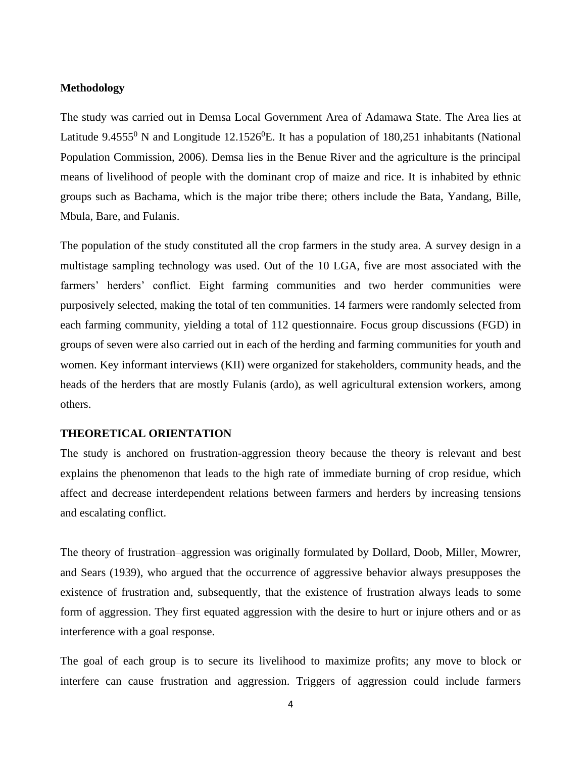#### **Methodology**

The study was carried out in Demsa Local Government Area of Adamawa State. The Area lies at Latitude 9.4555<sup>0</sup> N and Longitude 12.1526<sup>0</sup>E. It has a population of 180,251 inhabitants (National Population Commission, 2006). Demsa lies in the Benue River and the agriculture is the principal means of livelihood of people with the dominant crop of maize and rice. It is inhabited by ethnic groups such as Bachama, which is the major tribe there; others include the Bata, Yandang, Bille, Mbula, Bare, and Fulanis.

The population of the study constituted all the crop farmers in the study area. A survey design in a multistage sampling technology was used. Out of the 10 LGA, five are most associated with the farmers' herders' conflict. Eight farming communities and two herder communities were purposively selected, making the total of ten communities. 14 farmers were randomly selected from each farming community, yielding a total of 112 questionnaire. Focus group discussions (FGD) in groups of seven were also carried out in each of the herding and farming communities for youth and women. Key informant interviews (KII) were organized for stakeholders, community heads, and the heads of the herders that are mostly Fulanis (ardo), as well agricultural extension workers, among others.

### **THEORETICAL ORIENTATION**

The study is anchored on frustration-aggression theory because the theory is relevant and best explains the phenomenon that leads to the high rate of immediate burning of crop residue, which affect and decrease interdependent relations between farmers and herders by increasing tensions and escalating conflict.

The theory of frustration–aggression was originally formulated by Dollard, Doob, Miller, Mowrer, and Sears (1939), who argued that the occurrence of aggressive behavior always presupposes the existence of frustration and, subsequently, that the existence of frustration always leads to some form of aggression. They first equated aggression with the desire to hurt or injure others and or as interference with a goal response.

The goal of each group is to secure its livelihood to maximize profits; any move to block or interfere can cause frustration and aggression. Triggers of aggression could include farmers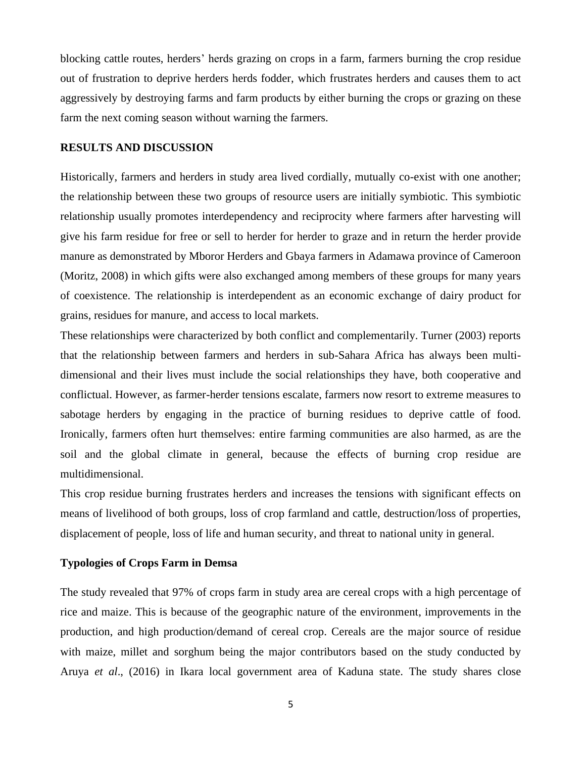blocking cattle routes, herders' herds grazing on crops in a farm, farmers burning the crop residue out of frustration to deprive herders herds fodder, which frustrates herders and causes them to act aggressively by destroying farms and farm products by either burning the crops or grazing on these farm the next coming season without warning the farmers.

## **RESULTS AND DISCUSSION**

Historically, farmers and herders in study area lived cordially, mutually co-exist with one another; the relationship between these two groups of resource users are initially symbiotic. This symbiotic relationship usually promotes interdependency and reciprocity where farmers after harvesting will give his farm residue for free or sell to herder for herder to graze and in return the herder provide manure as demonstrated by Mboror Herders and Gbaya farmers in Adamawa province of Cameroon (Moritz, 2008) in which gifts were also exchanged among members of these groups for many years of coexistence. The relationship is interdependent as an economic exchange of dairy product for grains, residues for manure, and access to local markets.

These relationships were characterized by both conflict and complementarily. Turner (2003) reports that the relationship between farmers and herders in sub-Sahara Africa has always been multidimensional and their lives must include the social relationships they have, both cooperative and conflictual. However, as farmer-herder tensions escalate, farmers now resort to extreme measures to sabotage herders by engaging in the practice of burning residues to deprive cattle of food. Ironically, farmers often hurt themselves: entire farming communities are also harmed, as are the soil and the global climate in general, because the effects of burning crop residue are multidimensional.

This crop residue burning frustrates herders and increases the tensions with significant effects on means of livelihood of both groups, loss of crop farmland and cattle, destruction/loss of properties, displacement of people, loss of life and human security, and threat to national unity in general.

## **Typologies of Crops Farm in Demsa**

The study revealed that 97% of crops farm in study area are cereal crops with a high percentage of rice and maize. This is because of the geographic nature of the environment, improvements in the production, and high production/demand of cereal crop. Cereals are the major source of residue with maize, millet and sorghum being the major contributors based on the study conducted by Aruya *et al*., (2016) in Ikara local government area of Kaduna state. The study shares close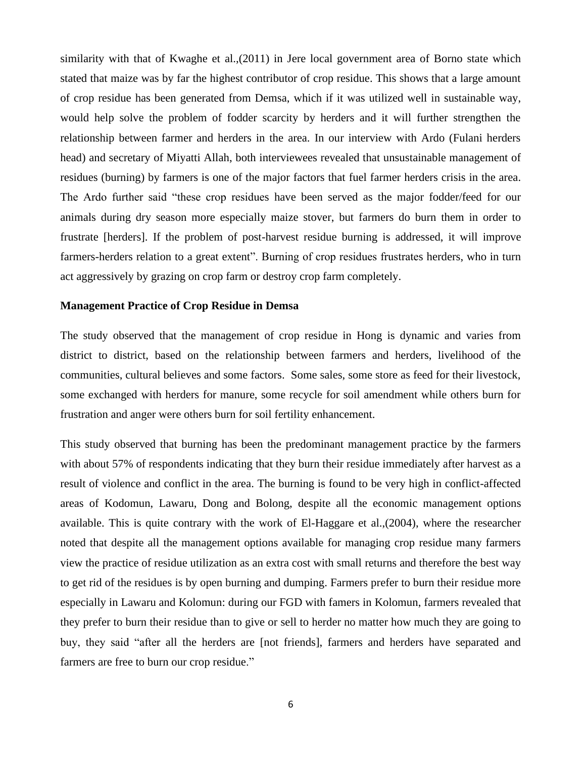similarity with that of Kwaghe et al.,(2011) in Jere local government area of Borno state which stated that maize was by far the highest contributor of crop residue. This shows that a large amount of crop residue has been generated from Demsa, which if it was utilized well in sustainable way, would help solve the problem of fodder scarcity by herders and it will further strengthen the relationship between farmer and herders in the area. In our interview with Ardo (Fulani herders head) and secretary of Miyatti Allah, both interviewees revealed that unsustainable management of residues (burning) by farmers is one of the major factors that fuel farmer herders crisis in the area. The Ardo further said "these crop residues have been served as the major fodder/feed for our animals during dry season more especially maize stover, but farmers do burn them in order to frustrate [herders]. If the problem of post-harvest residue burning is addressed, it will improve farmers-herders relation to a great extent". Burning of crop residues frustrates herders, who in turn act aggressively by grazing on crop farm or destroy crop farm completely.

#### **Management Practice of Crop Residue in Demsa**

The study observed that the management of crop residue in Hong is dynamic and varies from district to district, based on the relationship between farmers and herders, livelihood of the communities, cultural believes and some factors. Some sales, some store as feed for their livestock, some exchanged with herders for manure, some recycle for soil amendment while others burn for frustration and anger were others burn for soil fertility enhancement.

This study observed that burning has been the predominant management practice by the farmers with about 57% of respondents indicating that they burn their residue immediately after harvest as a result of violence and conflict in the area. The burning is found to be very high in conflict-affected areas of Kodomun, Lawaru, Dong and Bolong, despite all the economic management options available. This is quite contrary with the work of El-Haggare et al.,(2004), where the researcher noted that despite all the management options available for managing crop residue many farmers view the practice of residue utilization as an extra cost with small returns and therefore the best way to get rid of the residues is by open burning and dumping. Farmers prefer to burn their residue more especially in Lawaru and Kolomun: during our FGD with famers in Kolomun, farmers revealed that they prefer to burn their residue than to give or sell to herder no matter how much they are going to buy, they said "after all the herders are [not friends], farmers and herders have separated and farmers are free to burn our crop residue."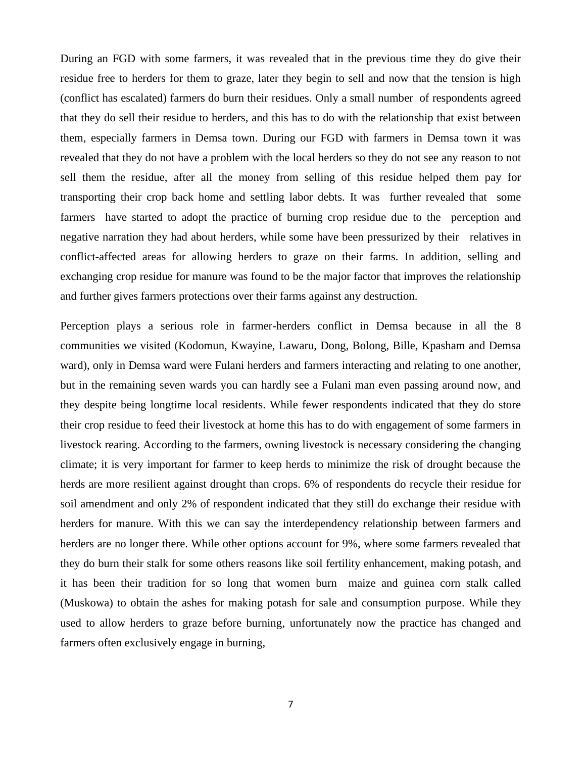During an FGD with some farmers, it was revealed that in the previous time they do give their residue free to herders for them to graze, later they begin to sell and now that the tension is high (conflict has escalated) farmers do burn their residues. Only a small number of respondents agreed that they do sell their residue to herders, and this has to do with the relationship that exist between them, especially farmers in Demsa town. During our FGD with farmers in Demsa town it was revealed that they do not have a problem with the local herders so they do not see any reason to not sell them the residue, after all the money from selling of this residue helped them pay for transporting their crop back home and settling labor debts. It was further revealed that some farmers have started to adopt the practice of burning crop residue due to the perception and negative narration they had about herders, while some have been pressurized by their relatives in conflict-affected areas for allowing herders to graze on their farms. In addition, selling and exchanging crop residue for manure was found to be the major factor that improves the relationship and further gives farmers protections over their farms against any destruction.

Perception plays a serious role in farmer-herders conflict in Demsa because in all the 8 communities we visited (Kodomun, Kwayine, Lawaru, Dong, Bolong, Bille, Kpasham and Demsa ward), only in Demsa ward were Fulani herders and farmers interacting and relating to one another, but in the remaining seven wards you can hardly see a Fulani man even passing around now, and they despite being longtime local residents. While fewer respondents indicated that they do store their crop residue to feed their livestock at home this has to do with engagement of some farmers in livestock rearing. According to the farmers, owning livestock is necessary considering the changing climate; it is very important for farmer to keep herds to minimize the risk of drought because the herds are more resilient against drought than crops. 6% of respondents do recycle their residue for soil amendment and only 2% of respondent indicated that they still do exchange their residue with herders for manure. With this we can say the interdependency relationship between farmers and herders are no longer there. While other options account for 9%, where some farmers revealed that they do burn their stalk for some others reasons like soil fertility enhancement, making potash, and it has been their tradition for so long that women burn maize and guinea corn stalk called (Muskowa) to obtain the ashes for making potash for sale and consumption purpose. While they used to allow herders to graze before burning, unfortunately now the practice has changed and farmers often exclusively engage in burning,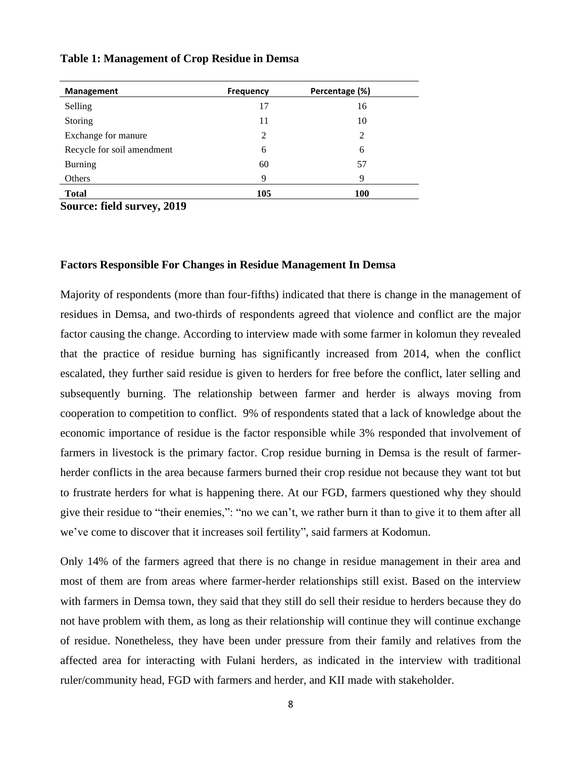| <b>Management</b>          | <b>Frequency</b> | Percentage (%) |  |  |
|----------------------------|------------------|----------------|--|--|
| Selling                    | 17               | 16             |  |  |
| Storing                    | 11               | 10             |  |  |
| Exchange for manure        | 2                | 2              |  |  |
| Recycle for soil amendment | 6                | 6              |  |  |
| <b>Burning</b>             | 60               | 57             |  |  |
| Others                     | 9                | 9              |  |  |
| <b>Total</b>               | 105              | <b>100</b>     |  |  |

## **Table 1: Management of Crop Residue in Demsa**

**Source: field survey, 2019**

### **Factors Responsible For Changes in Residue Management In Demsa**

Majority of respondents (more than four-fifths) indicated that there is change in the management of residues in Demsa, and two-thirds of respondents agreed that violence and conflict are the major factor causing the change. According to interview made with some farmer in kolomun they revealed that the practice of residue burning has significantly increased from 2014, when the conflict escalated, they further said residue is given to herders for free before the conflict, later selling and subsequently burning. The relationship between farmer and herder is always moving from cooperation to competition to conflict. 9% of respondents stated that a lack of knowledge about the economic importance of residue is the factor responsible while 3% responded that involvement of farmers in livestock is the primary factor. Crop residue burning in Demsa is the result of farmerherder conflicts in the area because farmers burned their crop residue not because they want tot but to frustrate herders for what is happening there. At our FGD, farmers questioned why they should give their residue to "their enemies,": "no we can't, we rather burn it than to give it to them after all we've come to discover that it increases soil fertility", said farmers at Kodomun.

Only 14% of the farmers agreed that there is no change in residue management in their area and most of them are from areas where farmer-herder relationships still exist. Based on the interview with farmers in Demsa town, they said that they still do sell their residue to herders because they do not have problem with them, as long as their relationship will continue they will continue exchange of residue. Nonetheless, they have been under pressure from their family and relatives from the affected area for interacting with Fulani herders, as indicated in the interview with traditional ruler/community head, FGD with farmers and herder, and KII made with stakeholder.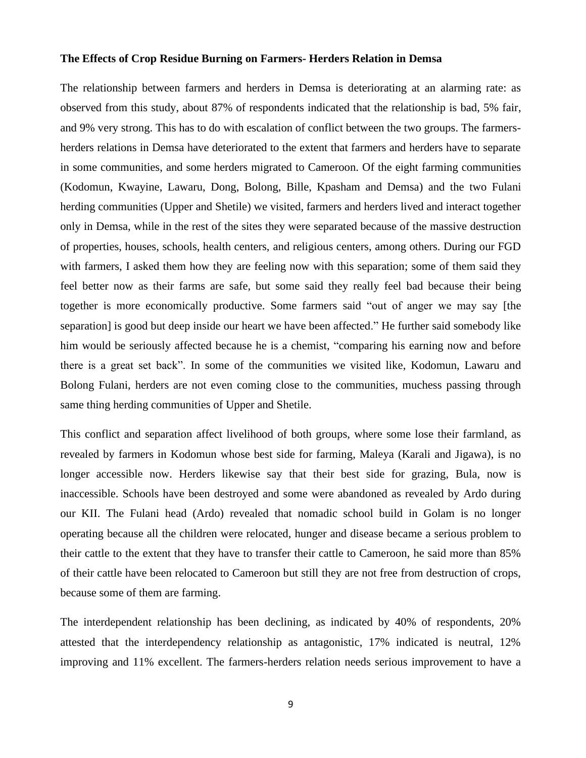#### **The Effects of Crop Residue Burning on Farmers- Herders Relation in Demsa**

The relationship between farmers and herders in Demsa is deteriorating at an alarming rate: as observed from this study, about 87% of respondents indicated that the relationship is bad, 5% fair, and 9% very strong. This has to do with escalation of conflict between the two groups. The farmersherders relations in Demsa have deteriorated to the extent that farmers and herders have to separate in some communities, and some herders migrated to Cameroon. Of the eight farming communities (Kodomun, Kwayine, Lawaru, Dong, Bolong, Bille, Kpasham and Demsa) and the two Fulani herding communities (Upper and Shetile) we visited, farmers and herders lived and interact together only in Demsa, while in the rest of the sites they were separated because of the massive destruction of properties, houses, schools, health centers, and religious centers, among others. During our FGD with farmers, I asked them how they are feeling now with this separation; some of them said they feel better now as their farms are safe, but some said they really feel bad because their being together is more economically productive. Some farmers said "out of anger we may say [the separation] is good but deep inside our heart we have been affected." He further said somebody like him would be seriously affected because he is a chemist, "comparing his earning now and before there is a great set back". In some of the communities we visited like, Kodomun, Lawaru and Bolong Fulani, herders are not even coming close to the communities, muchess passing through same thing herding communities of Upper and Shetile.

This conflict and separation affect livelihood of both groups, where some lose their farmland, as revealed by farmers in Kodomun whose best side for farming, Maleya (Karali and Jigawa), is no longer accessible now. Herders likewise say that their best side for grazing, Bula, now is inaccessible. Schools have been destroyed and some were abandoned as revealed by Ardo during our KII. The Fulani head (Ardo) revealed that nomadic school build in Golam is no longer operating because all the children were relocated, hunger and disease became a serious problem to their cattle to the extent that they have to transfer their cattle to Cameroon, he said more than 85% of their cattle have been relocated to Cameroon but still they are not free from destruction of crops, because some of them are farming.

The interdependent relationship has been declining, as indicated by 40% of respondents, 20% attested that the interdependency relationship as antagonistic, 17% indicated is neutral, 12% improving and 11% excellent. The farmers-herders relation needs serious improvement to have a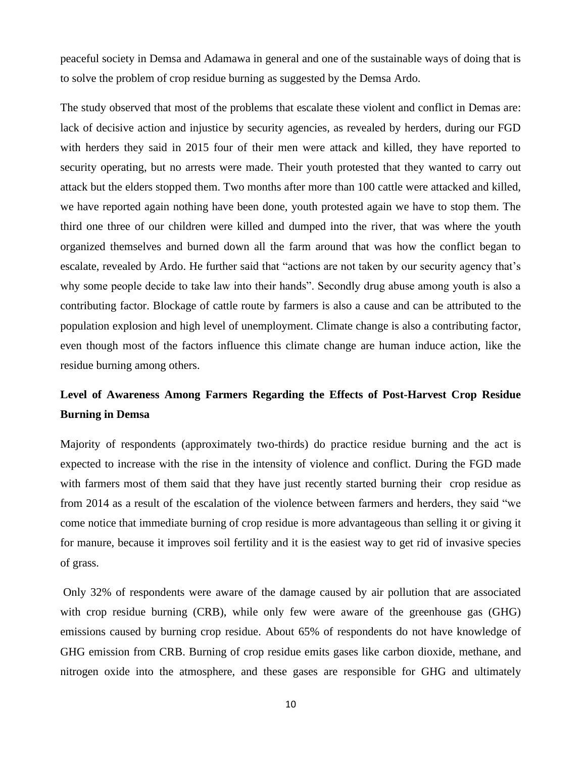peaceful society in Demsa and Adamawa in general and one of the sustainable ways of doing that is to solve the problem of crop residue burning as suggested by the Demsa Ardo.

The study observed that most of the problems that escalate these violent and conflict in Demas are: lack of decisive action and injustice by security agencies, as revealed by herders, during our FGD with herders they said in 2015 four of their men were attack and killed, they have reported to security operating, but no arrests were made. Their youth protested that they wanted to carry out attack but the elders stopped them. Two months after more than 100 cattle were attacked and killed, we have reported again nothing have been done, youth protested again we have to stop them. The third one three of our children were killed and dumped into the river, that was where the youth organized themselves and burned down all the farm around that was how the conflict began to escalate, revealed by Ardo. He further said that "actions are not taken by our security agency that's why some people decide to take law into their hands". Secondly drug abuse among youth is also a contributing factor. Blockage of cattle route by farmers is also a cause and can be attributed to the population explosion and high level of unemployment. Climate change is also a contributing factor, even though most of the factors influence this climate change are human induce action, like the residue burning among others.

# **Level of Awareness Among Farmers Regarding the Effects of Post-Harvest Crop Residue Burning in Demsa**

Majority of respondents (approximately two-thirds) do practice residue burning and the act is expected to increase with the rise in the intensity of violence and conflict. During the FGD made with farmers most of them said that they have just recently started burning their crop residue as from 2014 as a result of the escalation of the violence between farmers and herders, they said "we come notice that immediate burning of crop residue is more advantageous than selling it or giving it for manure, because it improves soil fertility and it is the easiest way to get rid of invasive species of grass.

Only 32% of respondents were aware of the damage caused by air pollution that are associated with crop residue burning (CRB), while only few were aware of the greenhouse gas (GHG) emissions caused by burning crop residue. About 65% of respondents do not have knowledge of GHG emission from CRB. Burning of crop residue emits gases like carbon dioxide, methane, and nitrogen oxide into the atmosphere, and these gases are responsible for GHG and ultimately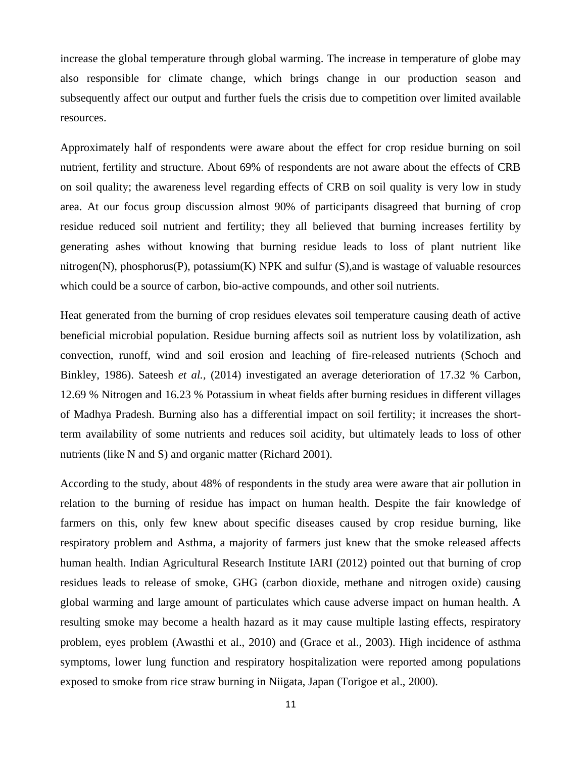increase the global temperature through global warming. The increase in temperature of globe may also responsible for climate change, which brings change in our production season and subsequently affect our output and further fuels the crisis due to competition over limited available resources.

Approximately half of respondents were aware about the effect for crop residue burning on soil nutrient, fertility and structure. About 69% of respondents are not aware about the effects of CRB on soil quality; the awareness level regarding effects of CRB on soil quality is very low in study area. At our focus group discussion almost 90% of participants disagreed that burning of crop residue reduced soil nutrient and fertility; they all believed that burning increases fertility by generating ashes without knowing that burning residue leads to loss of plant nutrient like nitrogen(N), phosphorus(P), potassium(K) NPK and sulfur (S),and is wastage of valuable resources which could be a source of carbon, bio-active compounds, and other soil nutrients.

Heat generated from the burning of crop residues elevates soil temperature causing death of active beneficial microbial population. Residue burning affects soil as nutrient loss by volatilization, ash convection, runoff, wind and soil erosion and leaching of fire-released nutrients (Schoch and Binkley, 1986). Sateesh *et al.,* (2014) investigated an average deterioration of 17.32 % Carbon, 12.69 % Nitrogen and 16.23 % Potassium in wheat fields after burning residues in different villages of Madhya Pradesh. Burning also has a differential impact on soil fertility; it increases the shortterm availability of some nutrients and reduces soil acidity, but ultimately leads to loss of other nutrients (like N and S) and organic matter (Richard 2001).

According to the study, about 48% of respondents in the study area were aware that air pollution in relation to the burning of residue has impact on human health. Despite the fair knowledge of farmers on this, only few knew about specific diseases caused by crop residue burning, like respiratory problem and Asthma, a majority of farmers just knew that the smoke released affects human health. Indian Agricultural Research Institute IARI (2012) pointed out that burning of crop residues leads to release of smoke, GHG (carbon dioxide, methane and nitrogen oxide) causing global warming and large amount of particulates which cause adverse impact on human health. A resulting smoke may become a health hazard as it may cause multiple lasting effects, respiratory problem, eyes problem (Awasthi et al., 2010) and (Grace et al., 2003). High incidence of asthma symptoms, lower lung function and respiratory hospitalization were reported among populations exposed to smoke from rice straw burning in Niigata, Japan (Torigoe et al., 2000).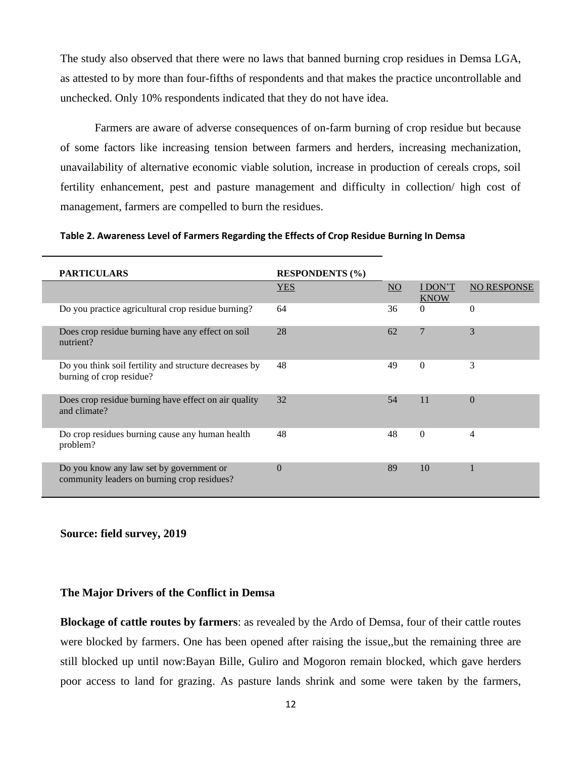The study also observed that there were no laws that banned burning crop residues in Demsa LGA, as attested to by more than four-fifths of respondents and that makes the practice uncontrollable and unchecked. Only 10% respondents indicated that they do not have idea.

Farmers are aware of adverse consequences of on-farm burning of crop residue but because of some factors like increasing tension between farmers and herders, increasing mechanization, unavailability of alternative economic viable solution, increase in production of cereals crops, soil fertility enhancement, pest and pasture management and difficulty in collection/ high cost of management, farmers are compelled to burn the residues.

**Table 2. Awareness Level of Farmers Regarding the Effects of Crop Residue Burning In Demsa**

| <b>PARTICULARS</b>                                                                      | <b>RESPONDENTS</b> (%) |                 |                        |                    |
|-----------------------------------------------------------------------------------------|------------------------|-----------------|------------------------|--------------------|
|                                                                                         | <b>YES</b>             | $\overline{NO}$ | I DON'T<br><b>KNOW</b> | <b>NO RESPONSE</b> |
| Do you practice agricultural crop residue burning?                                      | 64                     | 36              | $\theta$               | $\theta$           |
| Does crop residue burning have any effect on soil<br>nutrient?                          | 28                     | 62              | $\overline{7}$         | 3                  |
| Do you think soil fertility and structure decreases by<br>burning of crop residue?      | 48                     | 49              | $\theta$               | 3                  |
| Does crop residue burning have effect on air quality<br>and climate?                    | 32                     | 54              | 11                     | $\Omega$           |
| Do crop residues burning cause any human health<br>problem?                             | 48                     | 48              | $\Omega$               | 4                  |
| Do you know any law set by government or<br>community leaders on burning crop residues? | $\theta$               | 89              | 10                     |                    |

#### **Source: field survey, 2019**

### **The Major Drivers of the Conflict in Demsa**

**Blockage of cattle routes by farmers**: as revealed by the Ardo of Demsa, four of their cattle routes were blocked by farmers. One has been opened after raising the issue,,but the remaining three are still blocked up until now:Bayan Bille, Guliro and Mogoron remain blocked, which gave herders poor access to land for grazing. As pasture lands shrink and some were taken by the farmers,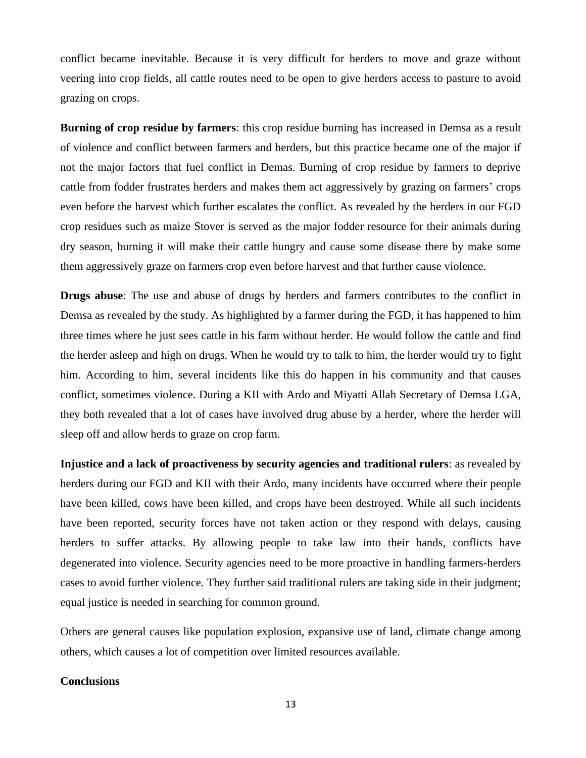conflict became inevitable. Because it is very difficult for herders to move and graze without veering into crop fields, all cattle routes need to be open to give herders access to pasture to avoid grazing on crops.

**Burning of crop residue by farmers**: this crop residue burning has increased in Demsa as a result of violence and conflict between farmers and herders, but this practice became one of the major if not the major factors that fuel conflict in Demas. Burning of crop residue by farmers to deprive cattle from fodder frustrates herders and makes them act aggressively by grazing on farmers' crops even before the harvest which further escalates the conflict. As revealed by the herders in our FGD crop residues such as maize Stover is served as the major fodder resource for their animals during dry season, burning it will make their cattle hungry and cause some disease there by make some them aggressively graze on farmers crop even before harvest and that further cause violence.

**Drugs abuse**: The use and abuse of drugs by herders and farmers contributes to the conflict in Demsa as revealed by the study. As highlighted by a farmer during the FGD, it has happened to him three times where he just sees cattle in his farm without herder. He would follow the cattle and find the herder asleep and high on drugs. When he would try to talk to him, the herder would try to fight him. According to him, several incidents like this do happen in his community and that causes conflict, sometimes violence. During a KII with Ardo and Miyatti Allah Secretary of Demsa LGA, they both revealed that a lot of cases have involved drug abuse by a herder, where the herder will sleep off and allow herds to graze on crop farm.

**Injustice and a lack of proactiveness by security agencies and traditional rulers**: as revealed by herders during our FGD and KII with their Ardo, many incidents have occurred where their people have been killed, cows have been killed, and crops have been destroyed. While all such incidents have been reported, security forces have not taken action or they respond with delays, causing herders to suffer attacks. By allowing people to take law into their hands, conflicts have degenerated into violence. Security agencies need to be more proactive in handling farmers-herders cases to avoid further violence. They further said traditional rulers are taking side in their judgment; equal justice is needed in searching for common ground.

Others are general causes like population explosion, expansive use of land, climate change among others, which causes a lot of competition over limited resources available.

## **Conclusions**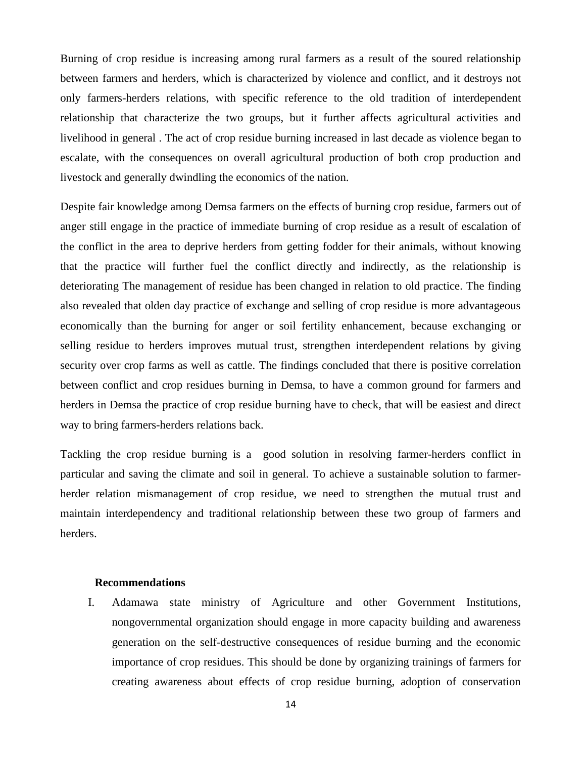Burning of crop residue is increasing among rural farmers as a result of the soured relationship between farmers and herders, which is characterized by violence and conflict, and it destroys not only farmers-herders relations, with specific reference to the old tradition of interdependent relationship that characterize the two groups, but it further affects agricultural activities and livelihood in general . The act of crop residue burning increased in last decade as violence began to escalate, with the consequences on overall agricultural production of both crop production and livestock and generally dwindling the economics of the nation.

Despite fair knowledge among Demsa farmers on the effects of burning crop residue, farmers out of anger still engage in the practice of immediate burning of crop residue as a result of escalation of the conflict in the area to deprive herders from getting fodder for their animals, without knowing that the practice will further fuel the conflict directly and indirectly, as the relationship is deteriorating The management of residue has been changed in relation to old practice. The finding also revealed that olden day practice of exchange and selling of crop residue is more advantageous economically than the burning for anger or soil fertility enhancement, because exchanging or selling residue to herders improves mutual trust, strengthen interdependent relations by giving security over crop farms as well as cattle. The findings concluded that there is positive correlation between conflict and crop residues burning in Demsa, to have a common ground for farmers and herders in Demsa the practice of crop residue burning have to check, that will be easiest and direct way to bring farmers-herders relations back.

Tackling the crop residue burning is a good solution in resolving farmer-herders conflict in particular and saving the climate and soil in general. To achieve a sustainable solution to farmerherder relation mismanagement of crop residue, we need to strengthen the mutual trust and maintain interdependency and traditional relationship between these two group of farmers and herders.

#### **Recommendations**

I. Adamawa state ministry of Agriculture and other Government Institutions, nongovernmental organization should engage in more capacity building and awareness generation on the self-destructive consequences of residue burning and the economic importance of crop residues. This should be done by organizing trainings of farmers for creating awareness about effects of crop residue burning, adoption of conservation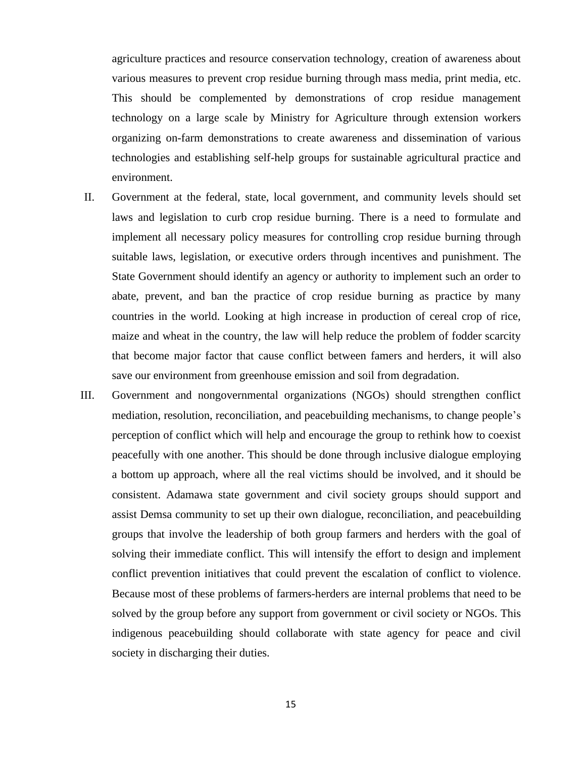agriculture practices and resource conservation technology, creation of awareness about various measures to prevent crop residue burning through mass media, print media, etc. This should be complemented by demonstrations of crop residue management technology on a large scale by Ministry for Agriculture through extension workers organizing on-farm demonstrations to create awareness and dissemination of various technologies and establishing self-help groups for sustainable agricultural practice and environment.

- II. Government at the federal, state, local government, and community levels should set laws and legislation to curb crop residue burning. There is a need to formulate and implement all necessary policy measures for controlling crop residue burning through suitable laws, legislation, or executive orders through incentives and punishment. The State Government should identify an agency or authority to implement such an order to abate, prevent, and ban the practice of crop residue burning as practice by many countries in the world. Looking at high increase in production of cereal crop of rice, maize and wheat in the country, the law will help reduce the problem of fodder scarcity that become major factor that cause conflict between famers and herders, it will also save our environment from greenhouse emission and soil from degradation.
- III. Government and nongovernmental organizations (NGOs) should strengthen conflict mediation, resolution, reconciliation, and peacebuilding mechanisms, to change people's perception of conflict which will help and encourage the group to rethink how to coexist peacefully with one another. This should be done through inclusive dialogue employing a bottom up approach, where all the real victims should be involved, and it should be consistent. Adamawa state government and civil society groups should support and assist Demsa community to set up their own dialogue, reconciliation, and peacebuilding groups that involve the leadership of both group farmers and herders with the goal of solving their immediate conflict. This will intensify the effort to design and implement conflict prevention initiatives that could prevent the escalation of conflict to violence. Because most of these problems of farmers-herders are internal problems that need to be solved by the group before any support from government or civil society or NGOs. This indigenous peacebuilding should collaborate with state agency for peace and civil society in discharging their duties.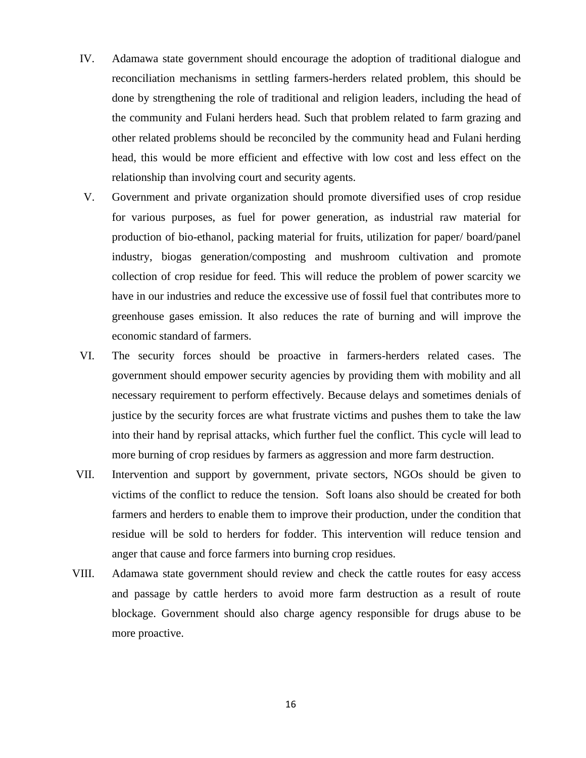- IV. Adamawa state government should encourage the adoption of traditional dialogue and reconciliation mechanisms in settling farmers-herders related problem, this should be done by strengthening the role of traditional and religion leaders, including the head of the community and Fulani herders head. Such that problem related to farm grazing and other related problems should be reconciled by the community head and Fulani herding head, this would be more efficient and effective with low cost and less effect on the relationship than involving court and security agents.
- V. Government and private organization should promote diversified uses of crop residue for various purposes, as fuel for power generation, as industrial raw material for production of bio-ethanol, packing material for fruits, utilization for paper/ board/panel industry, biogas generation/composting and mushroom cultivation and promote collection of crop residue for feed. This will reduce the problem of power scarcity we have in our industries and reduce the excessive use of fossil fuel that contributes more to greenhouse gases emission. It also reduces the rate of burning and will improve the economic standard of farmers.
- VI. The security forces should be proactive in farmers-herders related cases. The government should empower security agencies by providing them with mobility and all necessary requirement to perform effectively. Because delays and sometimes denials of justice by the security forces are what frustrate victims and pushes them to take the law into their hand by reprisal attacks, which further fuel the conflict. This cycle will lead to more burning of crop residues by farmers as aggression and more farm destruction.
- VII. Intervention and support by government, private sectors, NGOs should be given to victims of the conflict to reduce the tension. Soft loans also should be created for both farmers and herders to enable them to improve their production, under the condition that residue will be sold to herders for fodder. This intervention will reduce tension and anger that cause and force farmers into burning crop residues.
- VIII. Adamawa state government should review and check the cattle routes for easy access and passage by cattle herders to avoid more farm destruction as a result of route blockage. Government should also charge agency responsible for drugs abuse to be more proactive.